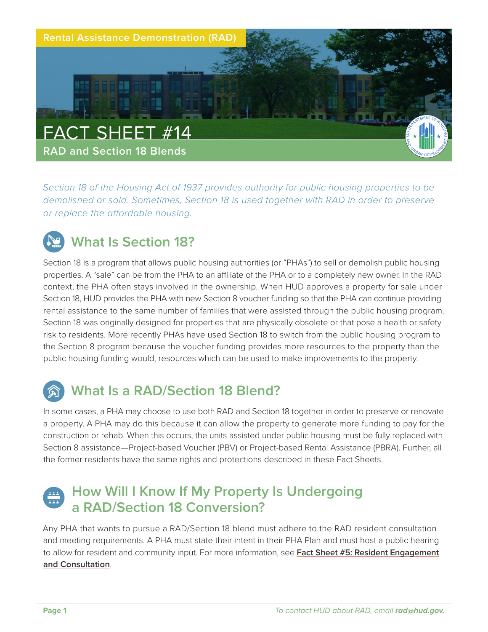

*Section 18 of the Housing Act of 1937 provides authority for public housing properties to be demolished or sold. Sometimes, Section 18 is used together with RAD in order to preserve or replace the affordable housing.*

# **What Is Section 18?**

Section 18 is a program that allows public housing authorities (or "PHAs") to sell or demolish public housing properties. A "sale" can be from the PHA to an affiliate of the PHA or to a completely new owner. In the RAD context, the PHA often stays involved in the ownership. When HUD approves a property for sale under Section 18, HUD provides the PHA with new Section 8 voucher funding so that the PHA can continue providing rental assistance to the same number of families that were assisted through the public housing program. Section 18 was originally designed for properties that are physically obsolete or that pose a health or safety risk to residents. More recently PHAs have used Section 18 to switch from the public housing program to the Section 8 program because the voucher funding provides more resources to the property than the public housing funding would, resources which can be used to make improvements to the property.

## **What Is a RAD/Section 18 Blend?**

In some cases, a PHA may choose to use both RAD and Section 18 together in order to preserve or renovate a property. A PHA may do this because it can allow the property to generate more funding to pay for the construction or rehab. When this occurs, the units assisted under public housing must be fully replaced with Section 8 assistance-Project-based Voucher (PBV) or Project-based Rental Assistance (PBRA). Further, all the former residents have the same rights and protections described in these Fact Sheets.

### **How Will I Know If My Property Is Undergoing a RAD/Section 18 Conversion?**

Any PHA that wants to pursue a RAD/Section 18 blend must adhere to the RAD resident consultation and meeting requirements. A PHA must state their intent in their PHA Plan and must host a public hearing to allow for resident and community input. For more information, see **[Fact Sheet #5: Resident Engagement](https://www.hud.gov/sites/dfiles/Housing/documents/RADResidentFactSheet_5_ResidentEngagementandConsultation.pdf) [and Consultation](https://www.hud.gov/sites/dfiles/Housing/documents/RADResidentFactSheet_5_ResidentEngagementandConsultation.pdf)**.